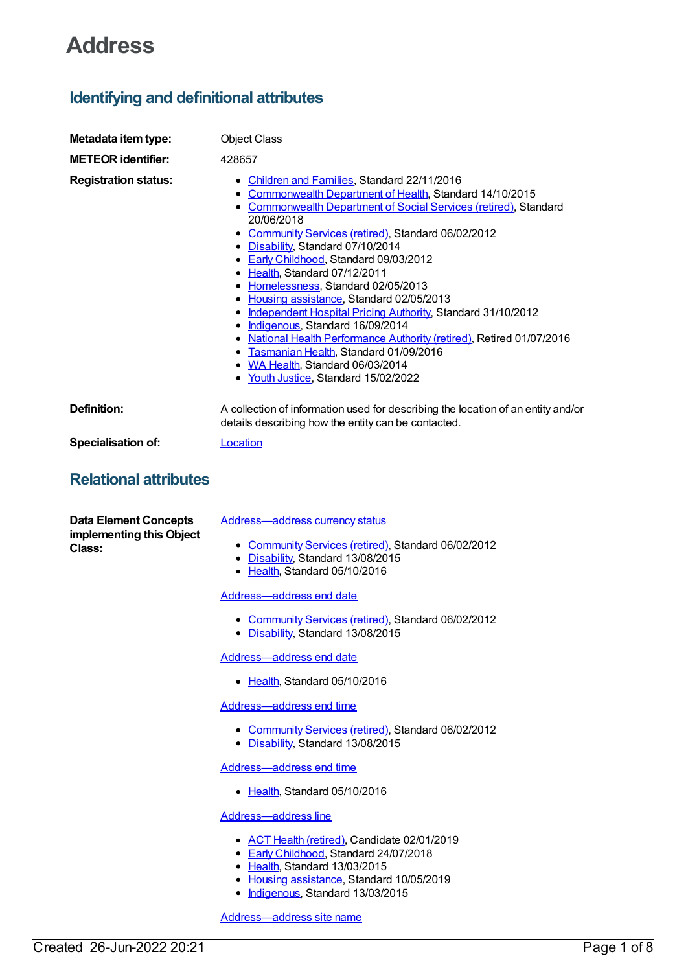# **Address**

# **Identifying and definitional attributes**

| Metadata item type:                                                | <b>Object Class</b>                                                                                                                                                                                                                                                                                                                                                                                                                                                                                                                                                                                                                                                                                                                                         |
|--------------------------------------------------------------------|-------------------------------------------------------------------------------------------------------------------------------------------------------------------------------------------------------------------------------------------------------------------------------------------------------------------------------------------------------------------------------------------------------------------------------------------------------------------------------------------------------------------------------------------------------------------------------------------------------------------------------------------------------------------------------------------------------------------------------------------------------------|
| <b>METEOR identifier:</b>                                          | 428657                                                                                                                                                                                                                                                                                                                                                                                                                                                                                                                                                                                                                                                                                                                                                      |
| <b>Registration status:</b>                                        | • Children and Families, Standard 22/11/2016<br>• Commonwealth Department of Health, Standard 14/10/2015<br>• Commonwealth Department of Social Services (retired), Standard<br>20/06/2018<br>• Community Services (retired), Standard 06/02/2012<br>• Disability, Standard 07/10/2014<br>• Early Childhood, Standard 09/03/2012<br>• Health, Standard 07/12/2011<br>• Homelessness, Standard 02/05/2013<br>• Housing assistance, Standard 02/05/2013<br>• Independent Hospital Pricing Authority, Standard 31/10/2012<br>• Indigenous, Standard 16/09/2014<br>• National Health Performance Authority (retired), Retired 01/07/2016<br>• Tasmanian Health, Standard 01/09/2016<br>• WA Health, Standard 06/03/2014<br>• Youth Justice, Standard 15/02/2022 |
| <b>Definition:</b>                                                 | A collection of information used for describing the location of an entity and/or<br>details describing how the entity can be contacted.                                                                                                                                                                                                                                                                                                                                                                                                                                                                                                                                                                                                                     |
| Specialisation of:                                                 | Location                                                                                                                                                                                                                                                                                                                                                                                                                                                                                                                                                                                                                                                                                                                                                    |
| <b>Relational attributes</b>                                       |                                                                                                                                                                                                                                                                                                                                                                                                                                                                                                                                                                                                                                                                                                                                                             |
| <b>Data Element Concepts</b><br>implementing this Object<br>Class: | <b>Address-address currency status</b><br>• Community Services (retired), Standard 06/02/2012<br>• Disability, Standard 13/08/2015<br>• Health, Standard 05/10/2016<br>Address-address end date<br>• Community Services (retired), Standard 06/02/2012<br>• Disability, Standard 13/08/2015<br>Address-address end date                                                                                                                                                                                                                                                                                                                                                                                                                                     |

• [Health](https://meteor.aihw.gov.au/RegistrationAuthority/12), Standard 05/10/2016

[Address—address](https://meteor.aihw.gov.au/content/428857) end time

- [Community](https://meteor.aihw.gov.au/RegistrationAuthority/1) Services (retired), Standard 06/02/2012
- [Disability](https://meteor.aihw.gov.au/RegistrationAuthority/16), Standard 13/08/2015

[Address—address](https://meteor.aihw.gov.au/content/636381) end time

• [Health](https://meteor.aihw.gov.au/RegistrationAuthority/12), Standard 05/10/2016

[Address—address](https://meteor.aihw.gov.au/content/594211) line

- ACT Health [\(retired\)](https://meteor.aihw.gov.au/RegistrationAuthority/9), Candidate 02/01/2019
- **Early [Childhood](https://meteor.aihw.gov.au/RegistrationAuthority/13), Standard 24/07/2018**
- [Health](https://meteor.aihw.gov.au/RegistrationAuthority/12), Standard 13/03/2015
- Housing [assistance](https://meteor.aihw.gov.au/RegistrationAuthority/11), Standard 10/05/2019
- [Indigenous](https://meteor.aihw.gov.au/RegistrationAuthority/6), Standard 13/03/2015

[Address—address](https://meteor.aihw.gov.au/content/429211) site name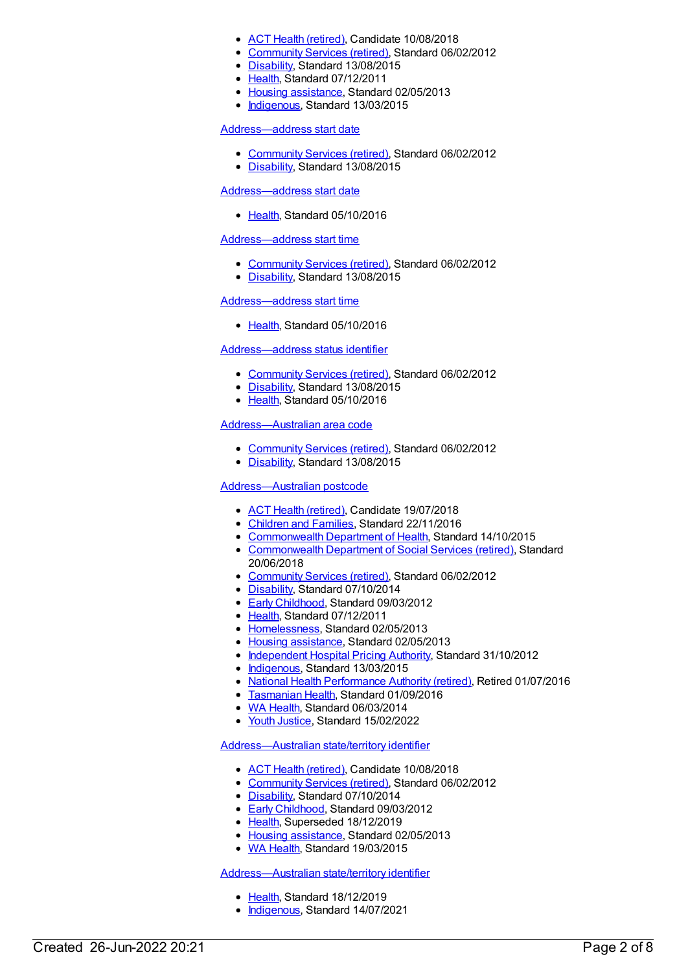- ACT Health [\(retired\)](https://meteor.aihw.gov.au/RegistrationAuthority/9), Candidate 10/08/2018
- [Community](https://meteor.aihw.gov.au/RegistrationAuthority/1) Services (retired), Standard 06/02/2012
- [Disability](https://meteor.aihw.gov.au/RegistrationAuthority/16), Standard 13/08/2015
- [Health](https://meteor.aihw.gov.au/RegistrationAuthority/12), Standard 07/12/2011
- Housing [assistance](https://meteor.aihw.gov.au/RegistrationAuthority/11), Standard 02/05/2013
- [Indigenous](https://meteor.aihw.gov.au/RegistrationAuthority/6), Standard 13/03/2015

#### [Address—address](https://meteor.aihw.gov.au/content/428666) start date

- [Community](https://meteor.aihw.gov.au/RegistrationAuthority/1) Services (retired), Standard 06/02/2012
- [Disability](https://meteor.aihw.gov.au/RegistrationAuthority/16), Standard 13/08/2015

#### [Address—address](https://meteor.aihw.gov.au/content/636320) start date

[Health](https://meteor.aihw.gov.au/RegistrationAuthority/12), Standard 05/10/2016

#### [Address—address](https://meteor.aihw.gov.au/content/428878) start time

- [Community](https://meteor.aihw.gov.au/RegistrationAuthority/1) Services (retired), Standard 06/02/2012
- [Disability](https://meteor.aihw.gov.au/RegistrationAuthority/16), Standard 13/08/2015

# Address-address start time

• [Health](https://meteor.aihw.gov.au/RegistrationAuthority/12), Standard 05/10/2016

# [Address—address](https://meteor.aihw.gov.au/content/428977) status identifier

- [Community](https://meteor.aihw.gov.au/RegistrationAuthority/1) Services (retired), Standard 06/02/2012
- [Disability](https://meteor.aihw.gov.au/RegistrationAuthority/16), Standard 13/08/2015
- [Health](https://meteor.aihw.gov.au/RegistrationAuthority/12), Standard 05/10/2016

# [Address—Australian](https://meteor.aihw.gov.au/content/434265) area code

- [Community](https://meteor.aihw.gov.au/RegistrationAuthority/1) Services (retired), Standard 06/02/2012
- [Disability](https://meteor.aihw.gov.au/RegistrationAuthority/16), Standard 13/08/2015

# [Address—Australian](https://meteor.aihw.gov.au/content/429892) postcode

- ACT Health [\(retired\)](https://meteor.aihw.gov.au/RegistrationAuthority/9), Candidate 19/07/2018
- [Children](https://meteor.aihw.gov.au/RegistrationAuthority/17) and Families, Standard 22/11/2016
- [Commonwealth](https://meteor.aihw.gov.au/RegistrationAuthority/10) Department of Health, Standard 14/10/2015
- [Commonwealth](https://meteor.aihw.gov.au/RegistrationAuthority/7) Department of Social Services (retired), Standard 20/06/2018
- [Community](https://meteor.aihw.gov.au/RegistrationAuthority/1) Services (retired), Standard 06/02/2012
- [Disability](https://meteor.aihw.gov.au/RegistrationAuthority/16), Standard 07/10/2014
- Early [Childhood](https://meteor.aihw.gov.au/RegistrationAuthority/13), Standard 09/03/2012
- [Health](https://meteor.aihw.gov.au/RegistrationAuthority/12), Standard 07/12/2011
- [Homelessness](https://meteor.aihw.gov.au/RegistrationAuthority/14), Standard 02/05/2013
- Housing [assistance](https://meteor.aihw.gov.au/RegistrationAuthority/11), Standard 02/05/2013
- [Independent](https://meteor.aihw.gov.au/RegistrationAuthority/3) Hospital Pricing Authority, Standard 31/10/2012
- [Indigenous](https://meteor.aihw.gov.au/RegistrationAuthority/6), Standard 13/03/2015
- National Health [Performance](https://meteor.aihw.gov.au/RegistrationAuthority/8) Authority (retired), Retired 01/07/2016
- [Tasmanian](https://meteor.aihw.gov.au/RegistrationAuthority/15) Health, Standard 01/09/2016  $\bullet$
- WA [Health](https://meteor.aihw.gov.au/RegistrationAuthority/2), Standard 06/03/2014
- Youth [Justice](https://meteor.aihw.gov.au/RegistrationAuthority/4), Standard 15/02/2022

#### [Address—Australian](https://meteor.aihw.gov.au/content/430132) state/territory identifier

- ACT Health [\(retired\)](https://meteor.aihw.gov.au/RegistrationAuthority/9), Candidate 10/08/2018
- [Community](https://meteor.aihw.gov.au/RegistrationAuthority/1) Services (retired), Standard 06/02/2012
- [Disability](https://meteor.aihw.gov.au/RegistrationAuthority/16), Standard 07/10/2014
- **Early [Childhood](https://meteor.aihw.gov.au/RegistrationAuthority/13), Standard 09/03/2012**
- [Health](https://meteor.aihw.gov.au/RegistrationAuthority/12), Superseded 18/12/2019
- Housing [assistance](https://meteor.aihw.gov.au/RegistrationAuthority/11), Standard 02/05/2013
- WA [Health](https://meteor.aihw.gov.au/RegistrationAuthority/2), Standard 19/03/2015

# [Address—Australian](https://meteor.aihw.gov.au/content/722749) state/territory identifier

- [Health](https://meteor.aihw.gov.au/RegistrationAuthority/12), Standard 18/12/2019
- [Indigenous](https://meteor.aihw.gov.au/RegistrationAuthority/6), Standard 14/07/2021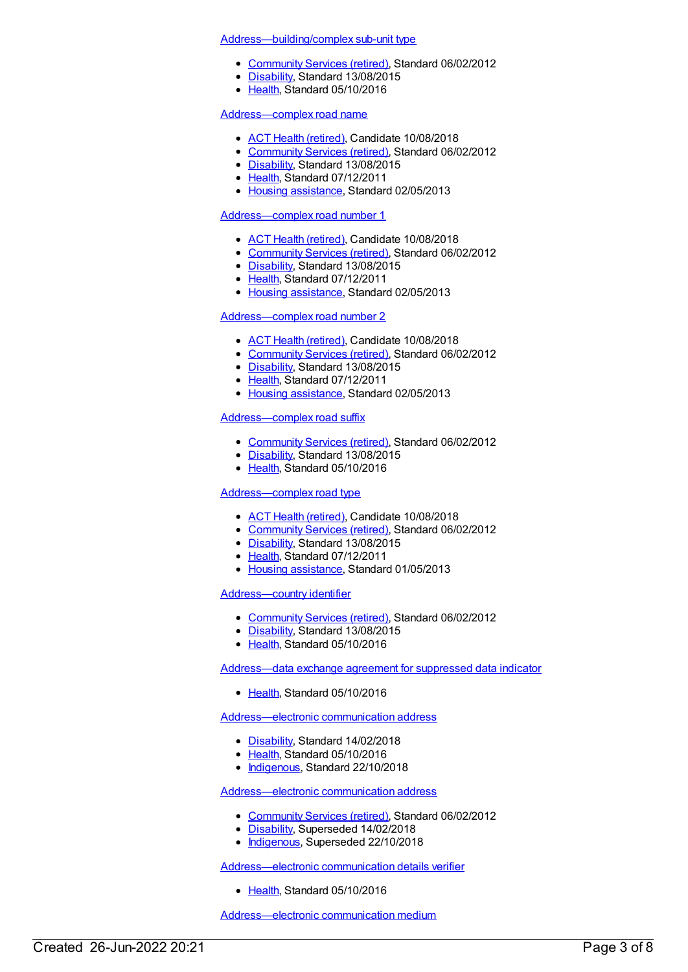#### [Address—building/complex](https://meteor.aihw.gov.au/content/429001) sub-unit type

- [Community](https://meteor.aihw.gov.au/RegistrationAuthority/1) Services (retired), Standard 06/02/2012
- [Disability](https://meteor.aihw.gov.au/RegistrationAuthority/16), Standard 13/08/2015
- [Health](https://meteor.aihw.gov.au/RegistrationAuthority/12), Standard 05/10/2016

# [Address—complex](https://meteor.aihw.gov.au/content/429368) road name

- ACT Health [\(retired\)](https://meteor.aihw.gov.au/RegistrationAuthority/9), Candidate 10/08/2018
- [Community](https://meteor.aihw.gov.au/RegistrationAuthority/1) Services (retired), Standard 06/02/2012
- [Disability](https://meteor.aihw.gov.au/RegistrationAuthority/16), Standard 13/08/2015
- [Health](https://meteor.aihw.gov.au/RegistrationAuthority/12), Standard 07/12/2011
- Housing [assistance](https://meteor.aihw.gov.au/RegistrationAuthority/11), Standard 02/05/2013

#### [Address—complex](https://meteor.aihw.gov.au/content/429254) road number 1

- ACT Health [\(retired\)](https://meteor.aihw.gov.au/RegistrationAuthority/9), Candidate 10/08/2018
- [Community](https://meteor.aihw.gov.au/RegistrationAuthority/1) Services (retired), Standard 06/02/2012
- [Disability](https://meteor.aihw.gov.au/RegistrationAuthority/16), Standard 13/08/2015
- [Health](https://meteor.aihw.gov.au/RegistrationAuthority/12), Standard 07/12/2011
- Housing [assistance](https://meteor.aihw.gov.au/RegistrationAuthority/11), Standard 02/05/2013

# [Address—complex](https://meteor.aihw.gov.au/content/429261) road number 2

- ACT Health [\(retired\)](https://meteor.aihw.gov.au/RegistrationAuthority/9), Candidate 10/08/2018
- [Community](https://meteor.aihw.gov.au/RegistrationAuthority/1) Services (retired), Standard 06/02/2012
- [Disability](https://meteor.aihw.gov.au/RegistrationAuthority/16), Standard 13/08/2015
- [Health](https://meteor.aihw.gov.au/RegistrationAuthority/12), Standard 07/12/2011
- Housing [assistance](https://meteor.aihw.gov.au/RegistrationAuthority/11), Standard 02/05/2013

# [Address—complex](https://meteor.aihw.gov.au/content/429394) road suffix

- [Community](https://meteor.aihw.gov.au/RegistrationAuthority/1) Services (retired), Standard 06/02/2012
- [Disability](https://meteor.aihw.gov.au/RegistrationAuthority/16), Standard 13/08/2015
- Elealth, Standard 05/10/2016

# [Address—complex](https://meteor.aihw.gov.au/content/429383) road type

- ACT Health [\(retired\)](https://meteor.aihw.gov.au/RegistrationAuthority/9), Candidate 10/08/2018
- [Community](https://meteor.aihw.gov.au/RegistrationAuthority/1) Services (retired), Standard 06/02/2012
- [Disability](https://meteor.aihw.gov.au/RegistrationAuthority/16), Standard 13/08/2015
- [Health](https://meteor.aihw.gov.au/RegistrationAuthority/12), Standard 07/12/2011
- Housing [assistance](https://meteor.aihw.gov.au/RegistrationAuthority/11), Standard 01/05/2013

#### [Address—country](https://meteor.aihw.gov.au/content/430160) identifier

- [Community](https://meteor.aihw.gov.au/RegistrationAuthority/1) Services (retired), Standard 06/02/2012
- [Disability](https://meteor.aihw.gov.au/RegistrationAuthority/16), Standard 13/08/2015
- [Health](https://meteor.aihw.gov.au/RegistrationAuthority/12), Standard 05/10/2016

[Address—data](https://meteor.aihw.gov.au/content/553691) exchange agreement for suppressed data indicator

[Health](https://meteor.aihw.gov.au/RegistrationAuthority/12), Standard 05/10/2016

[Address—electronic](https://meteor.aihw.gov.au/content/522689) communication address

- [Disability](https://meteor.aihw.gov.au/RegistrationAuthority/16), Standard 14/02/2018
- [Health](https://meteor.aihw.gov.au/RegistrationAuthority/12), Standard 05/10/2016
- [Indigenous](https://meteor.aihw.gov.au/RegistrationAuthority/6), Standard 22/10/2018

[Address—electronic](https://meteor.aihw.gov.au/content/452719) communication address

- [Community](https://meteor.aihw.gov.au/RegistrationAuthority/1) Services (retired), Standard 06/02/2012
- [Disability](https://meteor.aihw.gov.au/RegistrationAuthority/16), Superseded 14/02/2018
- [Indigenous](https://meteor.aihw.gov.au/RegistrationAuthority/6), Superseded 22/10/2018

[Address—electronic](https://meteor.aihw.gov.au/content/522662) communication details verifier

• [Health](https://meteor.aihw.gov.au/RegistrationAuthority/12), Standard 05/10/2016

[Address—electronic](https://meteor.aihw.gov.au/content/522580) communication medium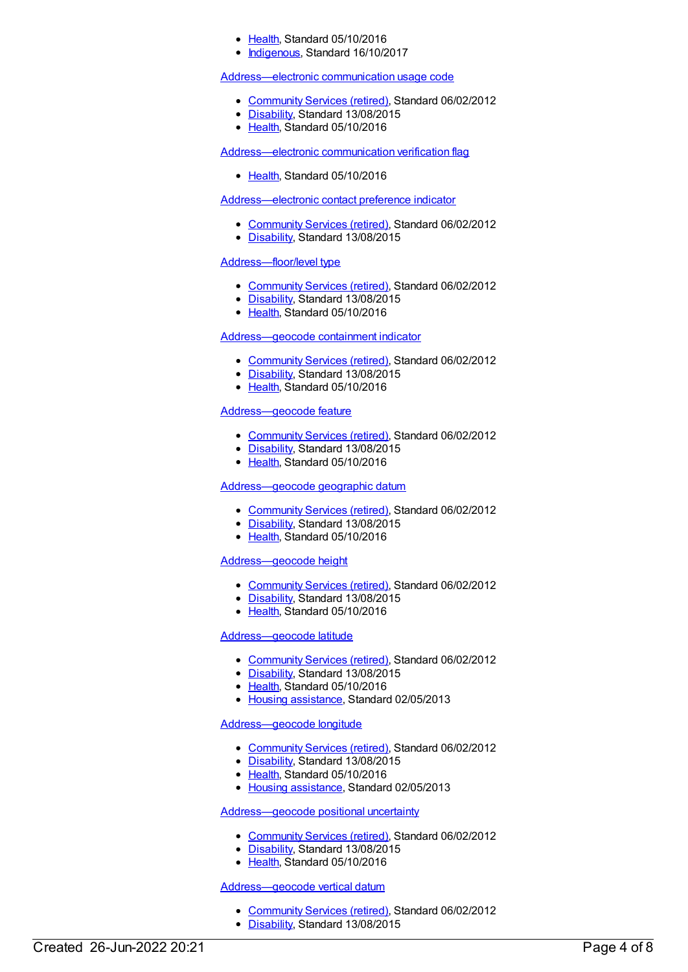- [Health](https://meteor.aihw.gov.au/RegistrationAuthority/12), Standard 05/10/2016
- [Indigenous](https://meteor.aihw.gov.au/RegistrationAuthority/6), Standard 16/10/2017

#### [Address—electronic](https://meteor.aihw.gov.au/content/452742) communication usage code

- [Community](https://meteor.aihw.gov.au/RegistrationAuthority/1) Services (retired), Standard 06/02/2012
- [Disability](https://meteor.aihw.gov.au/RegistrationAuthority/16), Standard 13/08/2015
- Elealth, Standard 05/10/2016

[Address—electronic](https://meteor.aihw.gov.au/content/522614) communication verification flag

• [Health](https://meteor.aihw.gov.au/RegistrationAuthority/12), Standard 05/10/2016

[Address—electronic](https://meteor.aihw.gov.au/content/433718) contact preference indicator

- [Community](https://meteor.aihw.gov.au/RegistrationAuthority/1) Services (retired), Standard 06/02/2012
- [Disability](https://meteor.aihw.gov.au/RegistrationAuthority/16), Standard 13/08/2015

# [Address—floor/level](https://meteor.aihw.gov.au/content/429014) type

- [Community](https://meteor.aihw.gov.au/RegistrationAuthority/1) Services (retired), Standard 06/02/2012
- [Disability](https://meteor.aihw.gov.au/RegistrationAuthority/16), Standard 13/08/2015
- [Health](https://meteor.aihw.gov.au/RegistrationAuthority/12), Standard 05/10/2016

# [Address—geocode](https://meteor.aihw.gov.au/content/430492) containment indicator

- [Community](https://meteor.aihw.gov.au/RegistrationAuthority/1) Services (retired), Standard 06/02/2012
- [Disability](https://meteor.aihw.gov.au/RegistrationAuthority/16), Standard 13/08/2015
- [Health](https://meteor.aihw.gov.au/RegistrationAuthority/12), Standard 05/10/2016

# [Address—geocode](https://meteor.aihw.gov.au/content/430311) feature

- [Community](https://meteor.aihw.gov.au/RegistrationAuthority/1) Services (retired), Standard 06/02/2012
- [Disability](https://meteor.aihw.gov.au/RegistrationAuthority/16), Standard 13/08/2015
- [Health](https://meteor.aihw.gov.au/RegistrationAuthority/12), Standard 05/10/2016

#### [Address—geocode](https://meteor.aihw.gov.au/content/430321) geographic datum

- [Community](https://meteor.aihw.gov.au/RegistrationAuthority/1) Services (retired), Standard 06/02/2012
- [Disability](https://meteor.aihw.gov.au/RegistrationAuthority/16), Standard 13/08/2015
- [Health](https://meteor.aihw.gov.au/RegistrationAuthority/12), Standard 05/10/2016

# [Address—geocode](https://meteor.aihw.gov.au/content/430481) height

- [Community](https://meteor.aihw.gov.au/RegistrationAuthority/1) Services (retired), Standard 06/02/2012
- [Disability](https://meteor.aihw.gov.au/RegistrationAuthority/16), Standard 13/08/2015
- [Health](https://meteor.aihw.gov.au/RegistrationAuthority/12), Standard 05/10/2016

# [Address—geocode](https://meteor.aihw.gov.au/content/430430) latitude

- [Community](https://meteor.aihw.gov.au/RegistrationAuthority/1) Services (retired), Standard 06/02/2012
- [Disability](https://meteor.aihw.gov.au/RegistrationAuthority/16), Standard 13/08/2015
- [Health](https://meteor.aihw.gov.au/RegistrationAuthority/12), Standard 05/10/2016
- Housing [assistance](https://meteor.aihw.gov.au/RegistrationAuthority/11), Standard 02/05/2013

# [Address—geocode](https://meteor.aihw.gov.au/content/430461) longitude

- [Community](https://meteor.aihw.gov.au/RegistrationAuthority/1) Services (retired), Standard 06/02/2012
- [Disability](https://meteor.aihw.gov.au/RegistrationAuthority/16), Standard 13/08/2015
- [Health](https://meteor.aihw.gov.au/RegistrationAuthority/12), Standard 05/10/2016
- Housing [assistance](https://meteor.aihw.gov.au/RegistrationAuthority/11), Standard 02/05/2013

#### [Address—geocode](https://meteor.aihw.gov.au/content/430488) positional uncertainty

- [Community](https://meteor.aihw.gov.au/RegistrationAuthority/1) Services (retired), Standard 06/02/2012
- [Disability](https://meteor.aihw.gov.au/RegistrationAuthority/16), Standard 13/08/2015
- [Health](https://meteor.aihw.gov.au/RegistrationAuthority/12), Standard 05/10/2016

# [Address—geocode](https://meteor.aihw.gov.au/content/430336) vertical datum

- [Community](https://meteor.aihw.gov.au/RegistrationAuthority/1) Services (retired), Standard 06/02/2012
- [Disability](https://meteor.aihw.gov.au/RegistrationAuthority/16), Standard 13/08/2015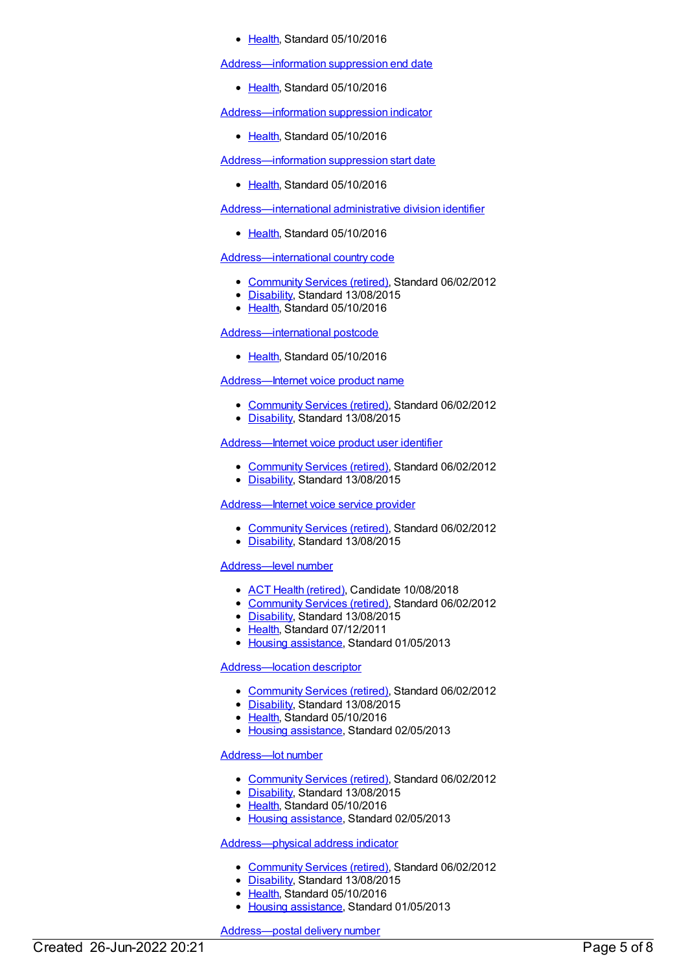#### [Health](https://meteor.aihw.gov.au/RegistrationAuthority/12), Standard 05/10/2016

[Address—information](https://meteor.aihw.gov.au/content/522411) suppression end date

• [Health](https://meteor.aihw.gov.au/RegistrationAuthority/12), Standard 05/10/2016

[Address—information](https://meteor.aihw.gov.au/content/522395) suppression indicator

• [Health](https://meteor.aihw.gov.au/RegistrationAuthority/12), Standard 05/10/2016

[Address—information](https://meteor.aihw.gov.au/content/522404) suppression start date

• [Health](https://meteor.aihw.gov.au/RegistrationAuthority/12), Standard 05/10/2016

[Address—international](https://meteor.aihw.gov.au/content/522241) administrative division identifier

• [Health](https://meteor.aihw.gov.au/RegistrationAuthority/12), Standard 05/10/2016

# [Address—international](https://meteor.aihw.gov.au/content/434085) country code

- [Community](https://meteor.aihw.gov.au/RegistrationAuthority/1) Services (retired), Standard 06/02/2012
- [Disability](https://meteor.aihw.gov.au/RegistrationAuthority/16), Standard 13/08/2015
- [Health](https://meteor.aihw.gov.au/RegistrationAuthority/12), Standard 05/10/2016

#### [Address—international](https://meteor.aihw.gov.au/content/522250) postcode

• [Health](https://meteor.aihw.gov.au/RegistrationAuthority/12), Standard 05/10/2016

[Address—Internet](https://meteor.aihw.gov.au/content/452878) voice product name

- [Community](https://meteor.aihw.gov.au/RegistrationAuthority/1) Services (retired), Standard 06/02/2012
- [Disability](https://meteor.aihw.gov.au/RegistrationAuthority/16), Standard 13/08/2015

# [Address—Internet](https://meteor.aihw.gov.au/content/433822) voice product user identifier

- [Community](https://meteor.aihw.gov.au/RegistrationAuthority/1) Services (retired), Standard 06/02/2012
- [Disability](https://meteor.aihw.gov.au/RegistrationAuthority/16), Standard 13/08/2015

[Address—Internet](https://meteor.aihw.gov.au/content/433811) voice service provider

- [Community](https://meteor.aihw.gov.au/RegistrationAuthority/1) Services (retired), Standard 06/02/2012
- [Disability](https://meteor.aihw.gov.au/RegistrationAuthority/16), Standard 13/08/2015

# [Address—level](https://meteor.aihw.gov.au/content/429056) number

- ACT Health [\(retired\)](https://meteor.aihw.gov.au/RegistrationAuthority/9), Candidate 10/08/2018
- [Community](https://meteor.aihw.gov.au/RegistrationAuthority/1) Services (retired), Standard 06/02/2012
- [Disability](https://meteor.aihw.gov.au/RegistrationAuthority/16), Standard 13/08/2015
- [Health](https://meteor.aihw.gov.au/RegistrationAuthority/12), Standard 07/12/2011
- Housing [assistance](https://meteor.aihw.gov.au/RegistrationAuthority/11), Standard 01/05/2013

# [Address—location](https://meteor.aihw.gov.au/content/430300) descriptor

- [Community](https://meteor.aihw.gov.au/RegistrationAuthority/1) Services (retired), Standard 06/02/2012
- [Disability](https://meteor.aihw.gov.au/RegistrationAuthority/16), Standard 13/08/2015
- [Health](https://meteor.aihw.gov.au/RegistrationAuthority/12), Standard 05/10/2016
- Housing [assistance](https://meteor.aihw.gov.au/RegistrationAuthority/11), Standard 02/05/2013

#### [Address—lot](https://meteor.aihw.gov.au/content/429535) number

- [Community](https://meteor.aihw.gov.au/RegistrationAuthority/1) Services (retired), Standard 06/02/2012
- [Disability](https://meteor.aihw.gov.au/RegistrationAuthority/16), Standard 13/08/2015
- [Health](https://meteor.aihw.gov.au/RegistrationAuthority/12), Standard 05/10/2016
- Housing [assistance](https://meteor.aihw.gov.au/RegistrationAuthority/11), Standard 02/05/2013

# [Address—physical](https://meteor.aihw.gov.au/content/428948) address indicator

- [Community](https://meteor.aihw.gov.au/RegistrationAuthority/1) Services (retired), Standard 06/02/2012
- [Disability](https://meteor.aihw.gov.au/RegistrationAuthority/16), Standard 13/08/2015
- [Health](https://meteor.aihw.gov.au/RegistrationAuthority/12), Standard 05/10/2016
- Housing [assistance](https://meteor.aihw.gov.au/RegistrationAuthority/11), Standard 01/05/2013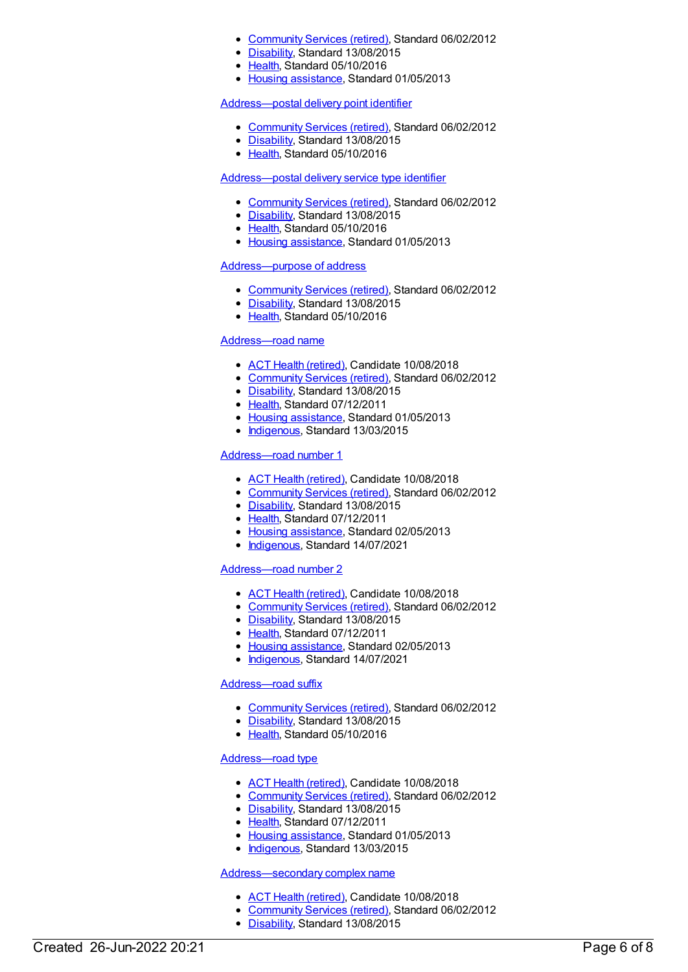- [Community](https://meteor.aihw.gov.au/RegistrationAuthority/1) Services (retired), Standard 06/02/2012
- [Disability](https://meteor.aihw.gov.au/RegistrationAuthority/16), Standard 13/08/2015
- [Health](https://meteor.aihw.gov.au/RegistrationAuthority/12), Standard 05/10/2016
- Housing [assistance](https://meteor.aihw.gov.au/RegistrationAuthority/11), Standard 01/05/2013

#### [Address—postal](https://meteor.aihw.gov.au/content/430304) delivery point identifier

- [Community](https://meteor.aihw.gov.au/RegistrationAuthority/1) Services (retired), Standard 06/02/2012
- [Disability](https://meteor.aihw.gov.au/RegistrationAuthority/16), Standard 13/08/2015
- [Health](https://meteor.aihw.gov.au/RegistrationAuthority/12), Standard 05/10/2016

#### [Address—postal](https://meteor.aihw.gov.au/content/430087) delivery service type identifier

- [Community](https://meteor.aihw.gov.au/RegistrationAuthority/1) Services (retired), Standard 06/02/2012
- [Disability](https://meteor.aihw.gov.au/RegistrationAuthority/16), Standard 13/08/2015
- [Health](https://meteor.aihw.gov.au/RegistrationAuthority/12), Standard 05/10/2016
- Housing [assistance](https://meteor.aihw.gov.au/RegistrationAuthority/11), Standard 01/05/2013

# [Address—purpose](https://meteor.aihw.gov.au/content/428930) of address

- [Community](https://meteor.aihw.gov.au/RegistrationAuthority/1) Services (retired), Standard 06/02/2012
- $\bullet$ [Disability](https://meteor.aihw.gov.au/RegistrationAuthority/16), Standard 13/08/2015
- [Health](https://meteor.aihw.gov.au/RegistrationAuthority/12), Standard 05/10/2016

#### [Address—road](https://meteor.aihw.gov.au/content/429744) name

- ACT Health [\(retired\)](https://meteor.aihw.gov.au/RegistrationAuthority/9), Candidate 10/08/2018
- [Community](https://meteor.aihw.gov.au/RegistrationAuthority/1) Services (retired), Standard 06/02/2012
- [Disability](https://meteor.aihw.gov.au/RegistrationAuthority/16), Standard 13/08/2015
- [Health](https://meteor.aihw.gov.au/RegistrationAuthority/12), Standard 07/12/2011
- Housing [assistance](https://meteor.aihw.gov.au/RegistrationAuthority/11), Standard 01/05/2013
- [Indigenous](https://meteor.aihw.gov.au/RegistrationAuthority/6), Standard 13/03/2015

# [Address—road](https://meteor.aihw.gov.au/content/429581) number 1

- ACT Health [\(retired\)](https://meteor.aihw.gov.au/RegistrationAuthority/9), Candidate 10/08/2018
- [Community](https://meteor.aihw.gov.au/RegistrationAuthority/1) Services (retired), Standard 06/02/2012
- [Disability](https://meteor.aihw.gov.au/RegistrationAuthority/16), Standard 13/08/2015
- [Health](https://meteor.aihw.gov.au/RegistrationAuthority/12), Standard 07/12/2011
- Housing [assistance](https://meteor.aihw.gov.au/RegistrationAuthority/11), Standard 02/05/2013
- [Indigenous](https://meteor.aihw.gov.au/RegistrationAuthority/6), Standard 14/07/2021

#### [Address—road](https://meteor.aihw.gov.au/content/429592) number 2

- ACT Health [\(retired\)](https://meteor.aihw.gov.au/RegistrationAuthority/9), Candidate 10/08/2018
- [Community](https://meteor.aihw.gov.au/RegistrationAuthority/1) Services (retired), Standard 06/02/2012
- [Disability](https://meteor.aihw.gov.au/RegistrationAuthority/16), Standard 13/08/2015
- [Health](https://meteor.aihw.gov.au/RegistrationAuthority/12), Standard 07/12/2011
- Housing [assistance](https://meteor.aihw.gov.au/RegistrationAuthority/11), Standard 02/05/2013
- [Indigenous](https://meteor.aihw.gov.au/RegistrationAuthority/6), Standard 14/07/2021

# [Address—road](https://meteor.aihw.gov.au/content/429866) suffix

- [Community](https://meteor.aihw.gov.au/RegistrationAuthority/1) Services (retired), Standard 06/02/2012
- [Disability](https://meteor.aihw.gov.au/RegistrationAuthority/16), Standard 13/08/2015
- [Health](https://meteor.aihw.gov.au/RegistrationAuthority/12), Standard 05/10/2016

#### [Address—road](https://meteor.aihw.gov.au/content/429754) type

- ACT Health [\(retired\)](https://meteor.aihw.gov.au/RegistrationAuthority/9), Candidate 10/08/2018
- [Community](https://meteor.aihw.gov.au/RegistrationAuthority/1) Services (retired), Standard 06/02/2012
- [Disability](https://meteor.aihw.gov.au/RegistrationAuthority/16), Standard 13/08/2015
- [Health](https://meteor.aihw.gov.au/RegistrationAuthority/12), Standard 07/12/2011
- Housing [assistance](https://meteor.aihw.gov.au/RegistrationAuthority/11), Standard 01/05/2013
- [Indigenous](https://meteor.aihw.gov.au/RegistrationAuthority/6), Standard 13/03/2015

#### [Address—secondary](https://meteor.aihw.gov.au/content/429401) complex name

- ACT Health [\(retired\)](https://meteor.aihw.gov.au/RegistrationAuthority/9), Candidate 10/08/2018
- [Community](https://meteor.aihw.gov.au/RegistrationAuthority/1) Services (retired), Standard 06/02/2012
- [Disability](https://meteor.aihw.gov.au/RegistrationAuthority/16), Standard 13/08/2015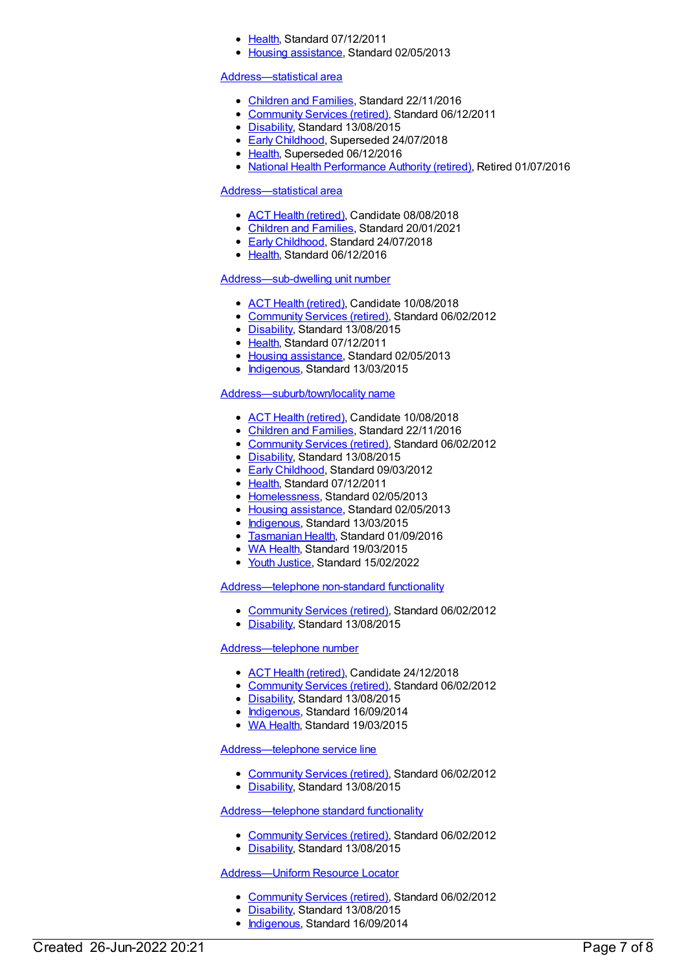- [Health](https://meteor.aihw.gov.au/RegistrationAuthority/12), Standard 07/12/2011
- Housing [assistance](https://meteor.aihw.gov.au/RegistrationAuthority/11), Standard 02/05/2013

#### [Address—statistical](https://meteor.aihw.gov.au/content/457285) area

- [Children](https://meteor.aihw.gov.au/RegistrationAuthority/17) and Families, Standard 22/11/2016
- [Community](https://meteor.aihw.gov.au/RegistrationAuthority/1) Services (retired), Standard 06/12/2011
- [Disability](https://meteor.aihw.gov.au/RegistrationAuthority/16), Standard 13/08/2015
- **Early [Childhood](https://meteor.aihw.gov.au/RegistrationAuthority/13), Superseded 24/07/2018**
- [Health](https://meteor.aihw.gov.au/RegistrationAuthority/12), Superseded 06/12/2016
- National Health [Performance](https://meteor.aihw.gov.au/RegistrationAuthority/8) Authority (retired), Retired 01/07/2016

#### [Address—statistical](https://meteor.aihw.gov.au/content/660651) area

- ACT Health [\(retired\)](https://meteor.aihw.gov.au/RegistrationAuthority/9), Candidate 08/08/2018
- [Children](https://meteor.aihw.gov.au/RegistrationAuthority/17) and Families, Standard 20/01/2021
- **Early [Childhood](https://meteor.aihw.gov.au/RegistrationAuthority/13), Standard 24/07/2018**
- [Health](https://meteor.aihw.gov.au/RegistrationAuthority/12), Standard 06/12/2016

# [Address—sub-dwelling](https://meteor.aihw.gov.au/content/429009) unit number

- ACT Health [\(retired\)](https://meteor.aihw.gov.au/RegistrationAuthority/9), Candidate 10/08/2018
- [Community](https://meteor.aihw.gov.au/RegistrationAuthority/1) Services (retired), Standard 06/02/2012
- [Disability](https://meteor.aihw.gov.au/RegistrationAuthority/16), Standard 13/08/2015
- [Health](https://meteor.aihw.gov.au/RegistrationAuthority/12), Standard 07/12/2011
- Housing [assistance](https://meteor.aihw.gov.au/RegistrationAuthority/11), Standard 02/05/2013
- [Indigenous](https://meteor.aihw.gov.au/RegistrationAuthority/6), Standard 13/03/2015  $\bullet$

# [Address—suburb/town/locality](https://meteor.aihw.gov.au/content/429887) name

- ACT Health [\(retired\)](https://meteor.aihw.gov.au/RegistrationAuthority/9), Candidate 10/08/2018
- [Children](https://meteor.aihw.gov.au/RegistrationAuthority/17) and Families, Standard 22/11/2016
- [Community](https://meteor.aihw.gov.au/RegistrationAuthority/1) Services (retired), Standard 06/02/2012
- [Disability](https://meteor.aihw.gov.au/RegistrationAuthority/16), Standard 13/08/2015
- **Early [Childhood](https://meteor.aihw.gov.au/RegistrationAuthority/13), Standard 09/03/2012**
- [Health](https://meteor.aihw.gov.au/RegistrationAuthority/12), Standard 07/12/2011
- [Homelessness](https://meteor.aihw.gov.au/RegistrationAuthority/14), Standard 02/05/2013
- Housing [assistance](https://meteor.aihw.gov.au/RegistrationAuthority/11), Standard 02/05/2013
- [Indigenous](https://meteor.aihw.gov.au/RegistrationAuthority/6), Standard 13/03/2015
- [Tasmanian](https://meteor.aihw.gov.au/RegistrationAuthority/15) Health, Standard 01/09/2016
- WA [Health](https://meteor.aihw.gov.au/RegistrationAuthority/2), Standard 19/03/2015
- Youth [Justice](https://meteor.aihw.gov.au/RegistrationAuthority/4), Standard 15/02/2022

[Address—telephone](https://meteor.aihw.gov.au/content/433890) non-standard functionality

- [Community](https://meteor.aihw.gov.au/RegistrationAuthority/1) Services (retired), Standard 06/02/2012
- [Disability](https://meteor.aihw.gov.au/RegistrationAuthority/16), Standard 13/08/2015

#### [Address—telephone](https://meteor.aihw.gov.au/content/452735) number

- ACT Health [\(retired\)](https://meteor.aihw.gov.au/RegistrationAuthority/9), Candidate 24/12/2018
- [Community](https://meteor.aihw.gov.au/RegistrationAuthority/1) Services (retired), Standard 06/02/2012
- [Disability](https://meteor.aihw.gov.au/RegistrationAuthority/16), Standard 13/08/2015
- [Indigenous](https://meteor.aihw.gov.au/RegistrationAuthority/6), Standard 16/09/2014
- WA [Health](https://meteor.aihw.gov.au/RegistrationAuthority/2), Standard 19/03/2015

#### [Address—telephone](https://meteor.aihw.gov.au/content/452815) service line

- [Community](https://meteor.aihw.gov.au/RegistrationAuthority/1) Services (retired), Standard 06/02/2012
- [Disability](https://meteor.aihw.gov.au/RegistrationAuthority/16), Standard 13/08/2015

#### [Address—telephone](https://meteor.aihw.gov.au/content/433842) standard functionality

- [Community](https://meteor.aihw.gov.au/RegistrationAuthority/1) Services (retired), Standard 06/02/2012
- [Disability](https://meteor.aihw.gov.au/RegistrationAuthority/16), Standard 13/08/2015

# [Address—Uniform](https://meteor.aihw.gov.au/content/433752) Resource Locator

- [Community](https://meteor.aihw.gov.au/RegistrationAuthority/1) Services (retired), Standard 06/02/2012
- [Disability](https://meteor.aihw.gov.au/RegistrationAuthority/16), Standard 13/08/2015
- [Indigenous](https://meteor.aihw.gov.au/RegistrationAuthority/6), Standard 16/09/2014